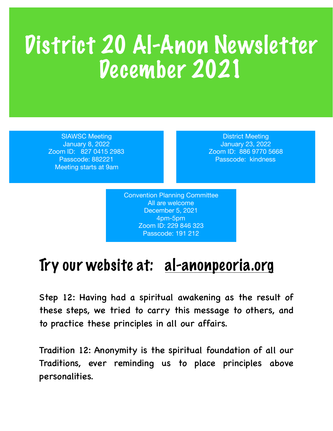## District 20 Al-Anon Newsletter December 2021

SIAWSC Meeting January 8, 2022 Zoom ID: 827 0415 2983 Passcode: 882221 Meeting starts at 9am

District Meeting January 23, 2022 Zoom ID: 886 9770 5668 Passcode: kindness

Convention Planning Committee All are welcome December 5, 2021 4pm-5pm Zoom ID: 229 846 323 Passcode: 191 212

## Try our website at: al-anonpeoria.org

Step 12: Having had a spiritual awakening as the result of these steps, we tried to carry this message to others, and to practice these principles in all our affairs.

Tradition 12: Anonymity is the spiritual foundation of all our Traditions, ever reminding us to place principles above personalities.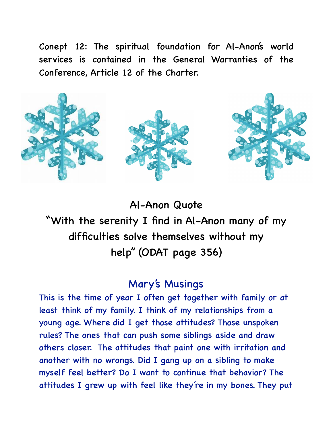Conept 12: The spiritual foundation for Al-Anon's world services is contained in the General Warranties of the Conference, Article 12 of the Charter.



Al-Anon Quote "With the serenity I find in Al-Anon many of my difficulties solve themselves without my help" (ODAT page 356)

## Mary's Musings

This is the time of year I often get together with family or at least think of my family. I think of my relationships from a young age. Where did I get those attitudes? Those unspoken rules? The ones that can push some siblings aside and draw others closer. The attitudes that paint one with irritation and another with no wrongs. Did I gang up on a sibling to make myself feel better? Do I want to continue that behavior? The attitudes I grew up with feel like they're in my bones. They put